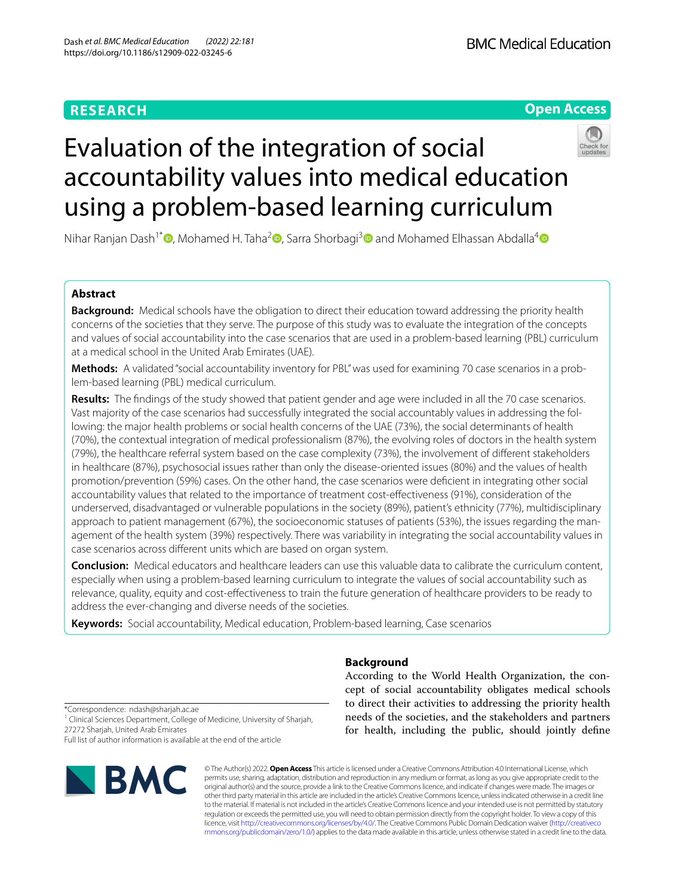# **RESEARCH**

# **Open Access**



# Evaluation of the integration of social accountability values into medical education using a problem-based learning curriculum

Nihar Ranjan Dash<sup>1\*</sup> [,](https://orcid.org/0000-0003-0808-5590) Mohamed H. Taha<sup>2</sup> , Sarra Shorbagi<sup>[3](https://orcid.org/0000-0001-9246-2904)</sup> and Mohamed Elhassan Abdalla<sup>[4](https://orcid.org/0000-0002-9241-1370)</sup>  $\bullet$ 

# **Abstract**

**Background:** Medical schools have the obligation to direct their education toward addressing the priority health concerns of the societies that they serve. The purpose of this study was to evaluate the integration of the concepts and values of social accountability into the case scenarios that are used in a problem-based learning (PBL) curriculum at a medical school in the United Arab Emirates (UAE).

**Methods:** A validated "social accountability inventory for PBL" was used for examining 70 case scenarios in a problem-based learning (PBL) medical curriculum.

**Results:** The fndings of the study showed that patient gender and age were included in all the 70 case scenarios. Vast majority of the case scenarios had successfully integrated the social accountably values in addressing the following: the major health problems or social health concerns of the UAE (73%), the social determinants of health (70%), the contextual integration of medical professionalism (87%), the evolving roles of doctors in the health system (79%), the healthcare referral system based on the case complexity (73%), the involvement of diferent stakeholders in healthcare (87%), psychosocial issues rather than only the disease-oriented issues (80%) and the values of health promotion/prevention (59%) cases. On the other hand, the case scenarios were defcient in integrating other social accountability values that related to the importance of treatment cost-efectiveness (91%), consideration of the underserved, disadvantaged or vulnerable populations in the society (89%), patient's ethnicity (77%), multidisciplinary approach to patient management (67%), the socioeconomic statuses of patients (53%), the issues regarding the management of the health system (39%) respectively. There was variability in integrating the social accountability values in case scenarios across diferent units which are based on organ system.

**Conclusion:** Medical educators and healthcare leaders can use this valuable data to calibrate the curriculum content, especially when using a problem-based learning curriculum to integrate the values of social accountability such as relevance, quality, equity and cost-efectiveness to train the future generation of healthcare providers to be ready to address the ever-changing and diverse needs of the societies.

**Keywords:** Social accountability, Medical education, Problem-based learning, Case scenarios

# **Background**

According to the World Health Organization, the concept of social accountability obligates medical schools to direct their activities to addressing the priority health needs of the societies, and the stakeholders and partners for health, including the public, should jointly defne

\*Correspondence: ndash@sharjah.ac.ae

<sup>1</sup> Clinical Sciences Department, College of Medicine, University of Sharjah, 27272 Sharjah, United Arab Emirates

Full list of author information is available at the end of the article



© The Author(s) 2022. **Open Access** This article is licensed under a Creative Commons Attribution 4.0 International License, which permits use, sharing, adaptation, distribution and reproduction in any medium or format, as long as you give appropriate credit to the original author(s) and the source, provide a link to the Creative Commons licence, and indicate if changes were made. The images or other third party material in this article are included in the article's Creative Commons licence, unless indicated otherwise in a credit line to the material. If material is not included in the article's Creative Commons licence and your intended use is not permitted by statutory regulation or exceeds the permitted use, you will need to obtain permission directly from the copyright holder. To view a copy of this licence, visit [http://creativecommons.org/licenses/by/4.0/.](http://creativecommons.org/licenses/by/4.0/) The Creative Commons Public Domain Dedication waiver ([http://creativeco](http://creativecommons.org/publicdomain/zero/1.0/) [mmons.org/publicdomain/zero/1.0/](http://creativecommons.org/publicdomain/zero/1.0/)) applies to the data made available in this article, unless otherwise stated in a credit line to the data.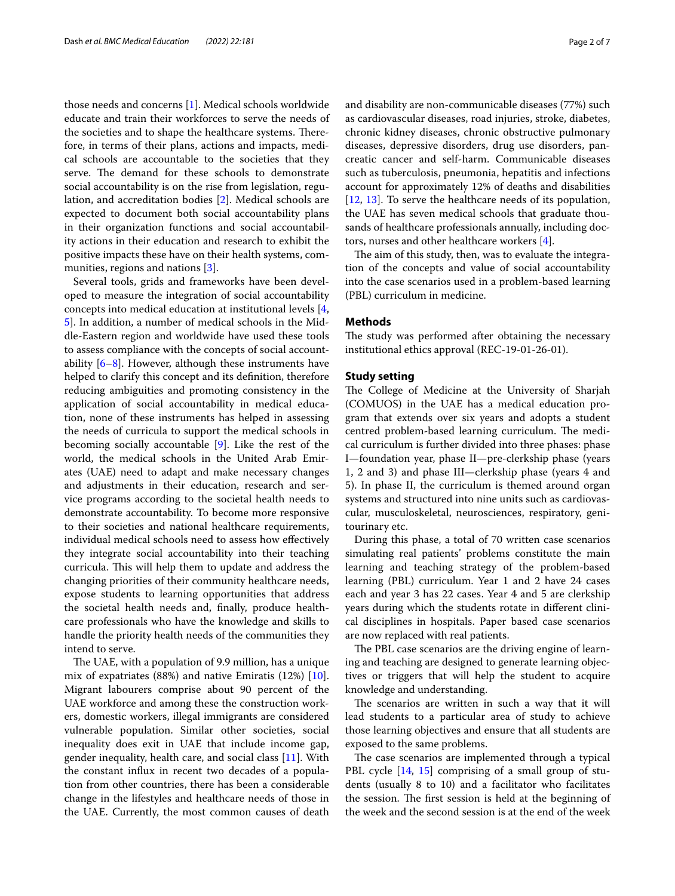those needs and concerns [[1\]](#page-5-0). Medical schools worldwide educate and train their workforces to serve the needs of the societies and to shape the healthcare systems. Therefore, in terms of their plans, actions and impacts, medical schools are accountable to the societies that they serve. The demand for these schools to demonstrate social accountability is on the rise from legislation, regulation, and accreditation bodies [\[2](#page-5-1)]. Medical schools are expected to document both social accountability plans in their organization functions and social accountability actions in their education and research to exhibit the positive impacts these have on their health systems, communities, regions and nations [[3\]](#page-5-2).

Several tools, grids and frameworks have been developed to measure the integration of social accountability concepts into medical education at institutional levels [\[4](#page-5-3), [5\]](#page-5-4). In addition, a number of medical schools in the Middle-Eastern region and worldwide have used these tools to assess compliance with the concepts of social accountability  $[6-8]$  $[6-8]$ . However, although these instruments have helped to clarify this concept and its defnition, therefore reducing ambiguities and promoting consistency in the application of social accountability in medical education, none of these instruments has helped in assessing the needs of curricula to support the medical schools in becoming socially accountable [\[9](#page-5-7)]. Like the rest of the world, the medical schools in the United Arab Emirates (UAE) need to adapt and make necessary changes and adjustments in their education, research and service programs according to the societal health needs to demonstrate accountability. To become more responsive to their societies and national healthcare requirements, individual medical schools need to assess how efectively they integrate social accountability into their teaching curricula. This will help them to update and address the changing priorities of their community healthcare needs, expose students to learning opportunities that address the societal health needs and, fnally, produce healthcare professionals who have the knowledge and skills to handle the priority health needs of the communities they intend to serve.

The UAE, with a population of 9.9 million, has a unique mix of expatriates (88%) and native Emiratis (12%) [\[10](#page-5-8)]. Migrant labourers comprise about 90 percent of the UAE workforce and among these the construction workers, domestic workers, illegal immigrants are considered vulnerable population. Similar other societies, social inequality does exit in UAE that include income gap, gender inequality, health care, and social class [[11\]](#page-5-9). With the constant infux in recent two decades of a population from other countries, there has been a considerable change in the lifestyles and healthcare needs of those in the UAE. Currently, the most common causes of death and disability are non-communicable diseases (77%) such as cardiovascular diseases, road injuries, stroke, diabetes, chronic kidney diseases, chronic obstructive pulmonary diseases, depressive disorders, drug use disorders, pancreatic cancer and self-harm. Communicable diseases such as tuberculosis, pneumonia, hepatitis and infections account for approximately 12% of deaths and disabilities [[12,](#page-5-10) [13\]](#page-5-11). To serve the healthcare needs of its population, the UAE has seven medical schools that graduate thousands of healthcare professionals annually, including doctors, nurses and other healthcare workers [\[4](#page-5-3)].

The aim of this study, then, was to evaluate the integration of the concepts and value of social accountability into the case scenarios used in a problem-based learning (PBL) curriculum in medicine.

# **Methods**

The study was performed after obtaining the necessary institutional ethics approval (REC-19-01-26-01).

## **Study setting**

The College of Medicine at the University of Sharjah (COMUOS) in the UAE has a medical education program that extends over six years and adopts a student centred problem-based learning curriculum. The medical curriculum is further divided into three phases: phase I—foundation year, phase II—pre-clerkship phase (years 1, 2 and 3) and phase III—clerkship phase (years 4 and 5). In phase II, the curriculum is themed around organ systems and structured into nine units such as cardiovascular, musculoskeletal, neurosciences, respiratory, genitourinary etc.

During this phase, a total of 70 written case scenarios simulating real patients' problems constitute the main learning and teaching strategy of the problem-based learning (PBL) curriculum. Year 1 and 2 have 24 cases each and year 3 has 22 cases. Year 4 and 5 are clerkship years during which the students rotate in diferent clinical disciplines in hospitals. Paper based case scenarios are now replaced with real patients.

The PBL case scenarios are the driving engine of learning and teaching are designed to generate learning objectives or triggers that will help the student to acquire knowledge and understanding.

The scenarios are written in such a way that it will lead students to a particular area of study to achieve those learning objectives and ensure that all students are exposed to the same problems.

The case scenarios are implemented through a typical PBL cycle [\[14](#page-5-12), [15](#page-6-0)] comprising of a small group of students (usually 8 to 10) and a facilitator who facilitates the session. The first session is held at the beginning of the week and the second session is at the end of the week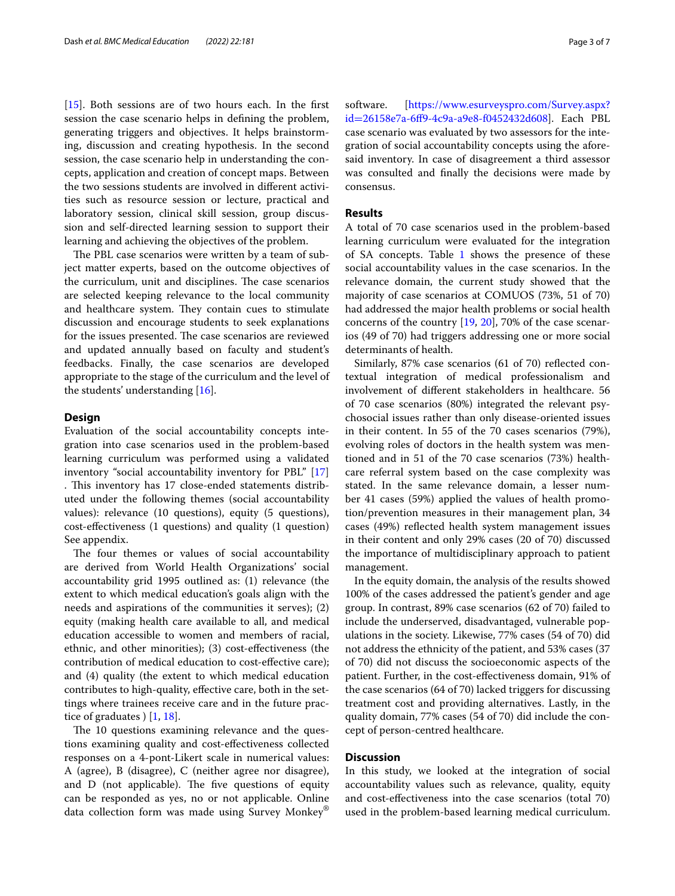[[15\]](#page-6-0). Both sessions are of two hours each. In the first session the case scenario helps in defning the problem, generating triggers and objectives. It helps brainstorming, discussion and creating hypothesis. In the second session, the case scenario help in understanding the concepts, application and creation of concept maps. Between the two sessions students are involved in diferent activities such as resource session or lecture, practical and laboratory session, clinical skill session, group discussion and self-directed learning session to support their learning and achieving the objectives of the problem.

The PBL case scenarios were written by a team of subject matter experts, based on the outcome objectives of the curriculum, unit and disciplines. The case scenarios are selected keeping relevance to the local community and healthcare system. They contain cues to stimulate discussion and encourage students to seek explanations for the issues presented. The case scenarios are reviewed and updated annually based on faculty and student's feedbacks. Finally, the case scenarios are developed appropriate to the stage of the curriculum and the level of the students' understanding [[16\]](#page-6-1).

## **Design**

Evaluation of the social accountability concepts integration into case scenarios used in the problem-based learning curriculum was performed using a validated inventory "social accountability inventory for PBL" [[17](#page-6-2)] . This inventory has 17 close-ended statements distributed under the following themes (social accountability values): relevance (10 questions), equity (5 questions), cost-efectiveness (1 questions) and quality (1 question) See appendix.

The four themes or values of social accountability are derived from World Health Organizations' social accountability grid 1995 outlined as: (1) relevance (the extent to which medical education's goals align with the needs and aspirations of the communities it serves); (2) equity (making health care available to all, and medical education accessible to women and members of racial, ethnic, and other minorities); (3) cost-efectiveness (the contribution of medical education to cost-efective care); and (4) quality (the extent to which medical education contributes to high-quality, effective care, both in the settings where trainees receive care and in the future practice of graduates ) [[1,](#page-5-0) [18\]](#page-6-3).

The 10 questions examining relevance and the questions examining quality and cost-efectiveness collected responses on a 4-pont-Likert scale in numerical values: A (agree), B (disagree), C (neither agree nor disagree), and  $D$  (not applicable). The five questions of equity can be responded as yes, no or not applicable. Online data collection form was made using Survey Monkey®

software. [\[https://www.esurveyspro.com/Survey.aspx?](https://www.esurveyspro.com/Survey.aspx?id=26158e7a-6ff9-4c9a-a9e8-f0452432d608) id=[26158e7a-6f9-4c9a-a9e8-f0452432d608\]](https://www.esurveyspro.com/Survey.aspx?id=26158e7a-6ff9-4c9a-a9e8-f0452432d608). Each PBL case scenario was evaluated by two assessors for the integration of social accountability concepts using the aforesaid inventory. In case of disagreement a third assessor was consulted and fnally the decisions were made by consensus.

# **Results**

A total of 70 case scenarios used in the problem-based learning curriculum were evaluated for the integration of SA concepts. Table  $1$  shows the presence of these social accountability values in the case scenarios. In the relevance domain, the current study showed that the majority of case scenarios at COMUOS (73%, 51 of 70) had addressed the major health problems or social health concerns of the country [\[19](#page-6-4), [20](#page-6-5)], 70% of the case scenarios (49 of 70) had triggers addressing one or more social determinants of health.

Similarly, 87% case scenarios (61 of 70) refected contextual integration of medical professionalism and involvement of diferent stakeholders in healthcare. 56 of 70 case scenarios (80%) integrated the relevant psychosocial issues rather than only disease-oriented issues in their content. In 55 of the 70 cases scenarios (79%), evolving roles of doctors in the health system was mentioned and in 51 of the 70 case scenarios (73%) healthcare referral system based on the case complexity was stated. In the same relevance domain, a lesser number 41 cases (59%) applied the values of health promotion/prevention measures in their management plan, 34 cases (49%) refected health system management issues in their content and only 29% cases (20 of 70) discussed the importance of multidisciplinary approach to patient management.

In the equity domain, the analysis of the results showed 100% of the cases addressed the patient's gender and age group. In contrast, 89% case scenarios (62 of 70) failed to include the underserved, disadvantaged, vulnerable populations in the society. Likewise, 77% cases (54 of 70) did not address the ethnicity of the patient, and 53% cases (37 of 70) did not discuss the socioeconomic aspects of the patient. Further, in the cost-efectiveness domain, 91% of the case scenarios (64 of 70) lacked triggers for discussing treatment cost and providing alternatives. Lastly, in the quality domain, 77% cases (54 of 70) did include the concept of person-centred healthcare.

## **Discussion**

In this study, we looked at the integration of social accountability values such as relevance, quality, equity and cost-efectiveness into the case scenarios (total 70) used in the problem-based learning medical curriculum.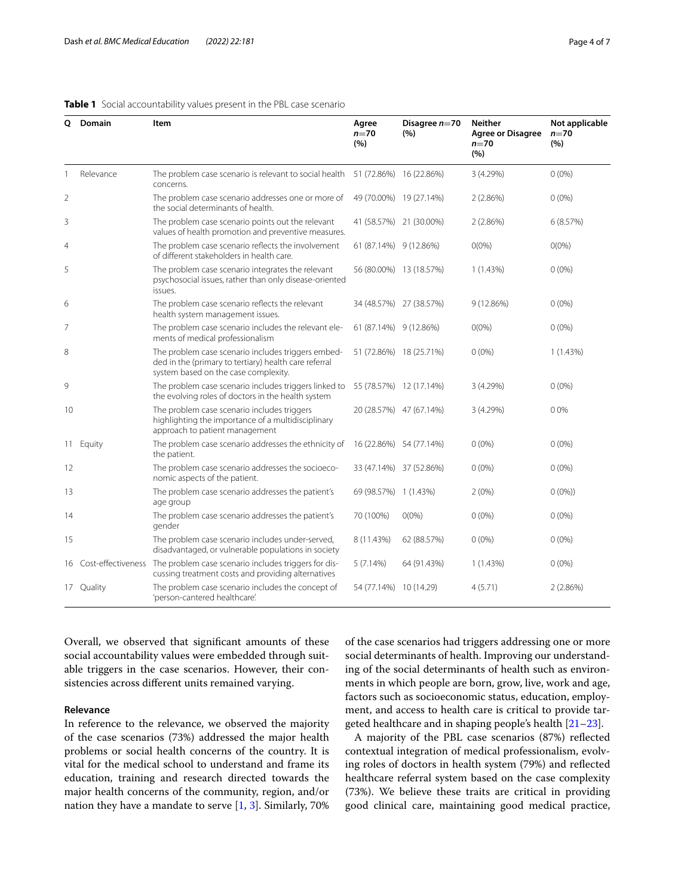## <span id="page-3-0"></span>**Table 1** Social accountability values present in the PBL case scenario

| Q              | Domain     | Item                                                                                                                                                | Agree<br>$n=70$<br>(%)  | Disagree $n=70$<br>(%)  | Neither<br><b>Agree or Disagree</b><br>$n=70$<br>(%) | Not applicable<br>$n=70$<br>(%) |
|----------------|------------|-----------------------------------------------------------------------------------------------------------------------------------------------------|-------------------------|-------------------------|------------------------------------------------------|---------------------------------|
|                | Relevance  | The problem case scenario is relevant to social health 51 (72.86%) 16 (22.86%)<br>concerns.                                                         |                         |                         | 3 (4.29%)                                            | $0(0\%)$                        |
| $\overline{2}$ |            | The problem case scenario addresses one or more of<br>the social determinants of health.                                                            | 49 (70.00%)             | 19 (27.14%)             | 2(2.86%)                                             | $0(0\%)$                        |
| 3              |            | The problem case scenario points out the relevant<br>values of health promotion and preventive measures.                                            |                         | 41 (58.57%) 21 (30.00%) | 2(2.86%)                                             | 6(8.57%)                        |
| $\overline{4}$ |            | The problem case scenario reflects the involvement<br>of different stakeholders in health care.                                                     | 61 (87.14%) 9 (12.86%)  |                         | $O(0\%)$                                             | $O(0\%)$                        |
| 5              |            | The problem case scenario integrates the relevant<br>psychosocial issues, rather than only disease-oriented<br>issues.                              |                         | 56 (80.00%) 13 (18.57%) | 1(1.43%)                                             | $0(0\%)$                        |
| 6              |            | The problem case scenario reflects the relevant<br>health system management issues.                                                                 |                         | 34 (48.57%) 27 (38.57%) | 9(12.86%)                                            | $0(0\%)$                        |
| 7              |            | The problem case scenario includes the relevant ele-<br>ments of medical professionalism                                                            | 61 (87.14%)             | 9 (12.86%)              | $O(0\%)$                                             | $0(0\%)$                        |
| 8              |            | The problem case scenario includes triggers embed-<br>ded in the (primary to tertiary) health care referral<br>system based on the case complexity. |                         | 51 (72.86%) 18 (25.71%) | $0(0\%)$                                             | 1(1.43%)                        |
| 9              |            | The problem case scenario includes triggers linked to<br>the evolving roles of doctors in the health system                                         | 55 (78.57%) 12 (17.14%) |                         | 3 (4.29%)                                            | $0(0\%)$                        |
| 10             |            | The problem case scenario includes triggers<br>highlighting the importance of a multidisciplinary<br>approach to patient management                 |                         | 20 (28.57%) 47 (67.14%) | 3 (4.29%)                                            | 00%                             |
| 11.            | Equity     | The problem case scenario addresses the ethnicity of<br>the patient.                                                                                | 16 (22.86%) 54 (77.14%) |                         | $0(0\%)$                                             | $0(0\%)$                        |
| 12             |            | The problem case scenario addresses the socioeco-<br>nomic aspects of the patient.                                                                  |                         | 33 (47.14%) 37 (52.86%) | $0(0\%)$                                             | $0(0\%)$                        |
| 13             |            | The problem case scenario addresses the patient's<br>age group                                                                                      | 69 (98.57%) 1 (1.43%)   |                         | 2(0%)                                                | $0(0\%)$                        |
| 14             |            | The problem case scenario addresses the patient's<br>gender                                                                                         | 70 (100%)               | $O(0\%)$                | $0(0\%)$                                             | $0(0\%)$                        |
| 15             |            | The problem case scenario includes under-served,<br>disadvantaged, or vulnerable populations in society                                             | 8 (11.43%)              | 62 (88.57%)             | $0(0\%)$                                             | $0(0\%)$                        |
| 16             |            | Cost-effectiveness The problem case scenario includes triggers for dis-<br>cussing treatment costs and providing alternatives                       | 5(7.14%)                | 64 (91.43%)             | 1(1.43%)                                             | $0(0\%)$                        |
|                | 17 Quality | The problem case scenario includes the concept of<br>'person-cantered healthcare'.                                                                  | 54 (77.14%) 10 (14.29)  |                         | 4(5.71)                                              | 2(2.86%)                        |

Overall, we observed that signifcant amounts of these social accountability values were embedded through suitable triggers in the case scenarios. However, their consistencies across diferent units remained varying.

# **Relevance**

In reference to the relevance, we observed the majority of the case scenarios (73%) addressed the major health problems or social health concerns of the country. It is vital for the medical school to understand and frame its education, training and research directed towards the major health concerns of the community, region, and/or nation they have a mandate to serve  $[1, 3]$  $[1, 3]$  $[1, 3]$  $[1, 3]$  $[1, 3]$ . Similarly, 70% of the case scenarios had triggers addressing one or more social determinants of health. Improving our understanding of the social determinants of health such as environments in which people are born, grow, live, work and age, factors such as socioeconomic status, education, employment, and access to health care is critical to provide targeted healthcare and in shaping people's health [[21–](#page-6-6)[23\]](#page-6-7).

A majority of the PBL case scenarios (87%) refected contextual integration of medical professionalism, evolving roles of doctors in health system (79%) and refected healthcare referral system based on the case complexity (73%). We believe these traits are critical in providing good clinical care, maintaining good medical practice,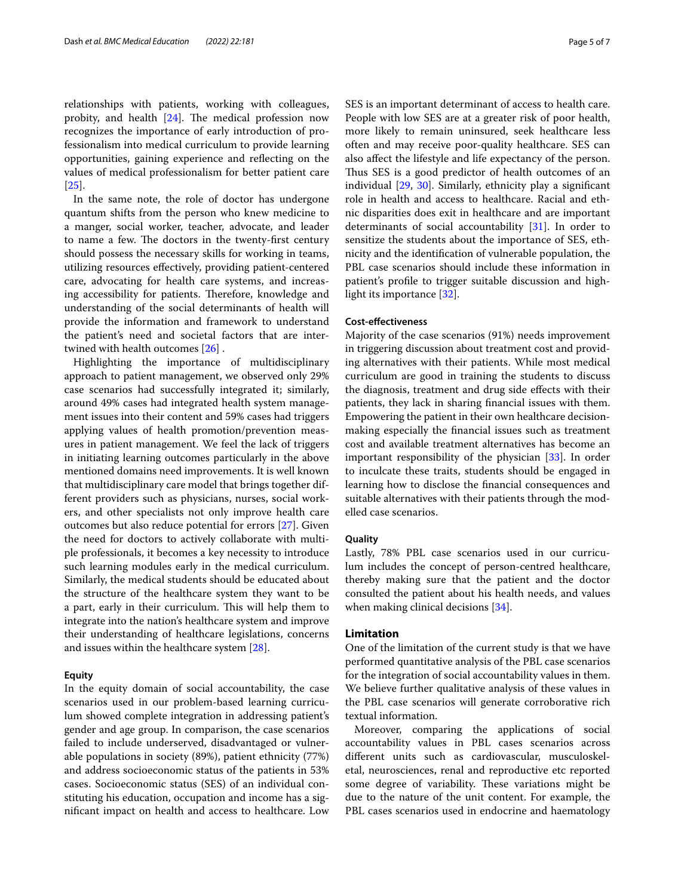relationships with patients, working with colleagues, probity, and health  $[24]$  $[24]$ . The medical profession now recognizes the importance of early introduction of professionalism into medical curriculum to provide learning opportunities, gaining experience and refecting on the values of medical professionalism for better patient care [[25\]](#page-6-9).

In the same note, the role of doctor has undergone quantum shifts from the person who knew medicine to a manger, social worker, teacher, advocate, and leader to name a few. The doctors in the twenty-first century should possess the necessary skills for working in teams, utilizing resources efectively, providing patient-centered care, advocating for health care systems, and increasing accessibility for patients. Therefore, knowledge and understanding of the social determinants of health will provide the information and framework to understand the patient's need and societal factors that are intertwined with health outcomes [[26\]](#page-6-10) .

Highlighting the importance of multidisciplinary approach to patient management, we observed only 29% case scenarios had successfully integrated it; similarly, around 49% cases had integrated health system management issues into their content and 59% cases had triggers applying values of health promotion/prevention measures in patient management. We feel the lack of triggers in initiating learning outcomes particularly in the above mentioned domains need improvements. It is well known that multidisciplinary care model that brings together different providers such as physicians, nurses, social workers, and other specialists not only improve health care outcomes but also reduce potential for errors [\[27](#page-6-11)]. Given the need for doctors to actively collaborate with multiple professionals, it becomes a key necessity to introduce such learning modules early in the medical curriculum. Similarly, the medical students should be educated about the structure of the healthcare system they want to be a part, early in their curriculum. This will help them to integrate into the nation's healthcare system and improve their understanding of healthcare legislations, concerns and issues within the healthcare system [[28\]](#page-6-12).

## **Equity**

In the equity domain of social accountability, the case scenarios used in our problem-based learning curriculum showed complete integration in addressing patient's gender and age group. In comparison, the case scenarios failed to include underserved, disadvantaged or vulnerable populations in society (89%), patient ethnicity (77%) and address socioeconomic status of the patients in 53% cases. Socioeconomic status (SES) of an individual constituting his education, occupation and income has a signifcant impact on health and access to healthcare. Low SES is an important determinant of access to health care. People with low SES are at a greater risk of poor health, more likely to remain uninsured, seek healthcare less often and may receive poor-quality healthcare. SES can also afect the lifestyle and life expectancy of the person. Thus SES is a good predictor of health outcomes of an individual [\[29](#page-6-13), [30\]](#page-6-14). Similarly, ethnicity play a signifcant role in health and access to healthcare. Racial and ethnic disparities does exit in healthcare and are important determinants of social accountability [[31\]](#page-6-15). In order to sensitize the students about the importance of SES, ethnicity and the identifcation of vulnerable population, the PBL case scenarios should include these information in patient's profle to trigger suitable discussion and highlight its importance [\[32](#page-6-16)].

# **Cost‑efectiveness**

Majority of the case scenarios (91%) needs improvement in triggering discussion about treatment cost and providing alternatives with their patients. While most medical curriculum are good in training the students to discuss the diagnosis, treatment and drug side efects with their patients, they lack in sharing fnancial issues with them. Empowering the patient in their own healthcare decisionmaking especially the fnancial issues such as treatment cost and available treatment alternatives has become an important responsibility of the physician [\[33](#page-6-17)]. In order to inculcate these traits, students should be engaged in learning how to disclose the fnancial consequences and suitable alternatives with their patients through the modelled case scenarios.

# **Quality**

Lastly, 78% PBL case scenarios used in our curriculum includes the concept of person-centred healthcare, thereby making sure that the patient and the doctor consulted the patient about his health needs, and values when making clinical decisions [[34\]](#page-6-18).

# **Limitation**

One of the limitation of the current study is that we have performed quantitative analysis of the PBL case scenarios for the integration of social accountability values in them. We believe further qualitative analysis of these values in the PBL case scenarios will generate corroborative rich textual information.

Moreover, comparing the applications of social accountability values in PBL cases scenarios across diferent units such as cardiovascular, musculoskeletal, neurosciences, renal and reproductive etc reported some degree of variability. These variations might be due to the nature of the unit content. For example, the PBL cases scenarios used in endocrine and haematology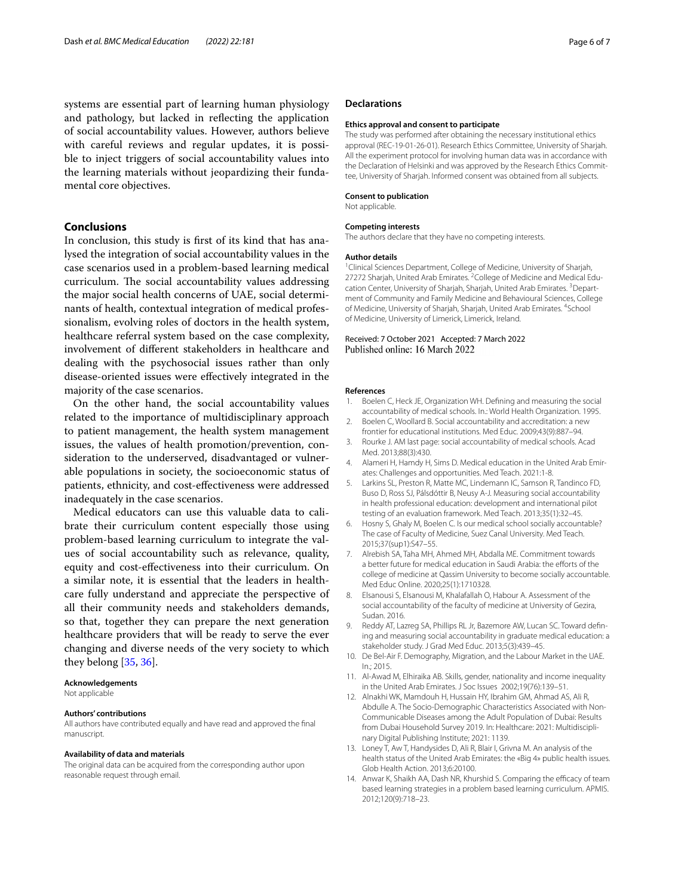systems are essential part of learning human physiology and pathology, but lacked in refecting the application of social accountability values. However, authors believe with careful reviews and regular updates, it is possible to inject triggers of social accountability values into the learning materials without jeopardizing their fundamental core objectives.

# **Conclusions**

In conclusion, this study is frst of its kind that has analysed the integration of social accountability values in the case scenarios used in a problem-based learning medical curriculum. The social accountability values addressing the major social health concerns of UAE, social determinants of health, contextual integration of medical professionalism, evolving roles of doctors in the health system, healthcare referral system based on the case complexity, involvement of diferent stakeholders in healthcare and dealing with the psychosocial issues rather than only disease-oriented issues were efectively integrated in the majority of the case scenarios.

On the other hand, the social accountability values related to the importance of multidisciplinary approach to patient management, the health system management issues, the values of health promotion/prevention, consideration to the underserved, disadvantaged or vulnerable populations in society, the socioeconomic status of patients, ethnicity, and cost-efectiveness were addressed inadequately in the case scenarios.

Medical educators can use this valuable data to calibrate their curriculum content especially those using problem-based learning curriculum to integrate the values of social accountability such as relevance, quality, equity and cost-efectiveness into their curriculum. On a similar note, it is essential that the leaders in healthcare fully understand and appreciate the perspective of all their community needs and stakeholders demands, so that, together they can prepare the next generation healthcare providers that will be ready to serve the ever changing and diverse needs of the very society to which they belong [[35,](#page-6-19) [36\]](#page-6-20).

## **Acknowledgements**

Not applicable

#### **Authors' contributions**

All authors have contributed equally and have read and approved the fnal manuscript.

## **Availability of data and materials**

The original data can be acquired from the corresponding author upon reasonable request through email.

## **Declarations**

#### **Ethics approval and consent to participate**

The study was performed after obtaining the necessary institutional ethics approval (REC-19-01-26-01). Research Ethics Committee, University of Sharjah. All the experiment protocol for involving human data was in accordance with the Declaration of Helsinki and was approved by the Research Ethics Committee. University of Shariah. Informed consent was obtained from all subjects.

## **Consent to publication**

Not applicable.

## **Competing interests**

The authors declare that they have no competing interests.

## **Author details**

<sup>1</sup> Clinical Sciences Department, College of Medicine, University of Sharjah, 27272 Sharjah, United Arab Emirates. <sup>2</sup>College of Medicine and Medical Education Center, University of Sharjah, Sharjah, United Arab Emirates. <sup>3</sup> Department of Community and Family Medicine and Behavioural Sciences, College of Medicine, University of Sharjah, Sharjah, United Arab Emirates. <sup>4</sup>School of Medicine, University of Limerick, Limerick, Ireland.

## Received: 7 October 2021 Accepted: 7 March 2022 Published online: 16 March 2022

#### **References**

- <span id="page-5-0"></span>1. Boelen C, Heck JE, Organization WH. Defning and measuring the social accountability of medical schools. In.: World Health Organization. 1995.
- <span id="page-5-1"></span>2. Boelen C, Woollard B. Social accountability and accreditation: a new frontier for educational institutions. Med Educ. 2009;43(9):887–94.
- <span id="page-5-2"></span>3. Rourke J. AM last page: social accountability of medical schools. Acad Med. 2013;88(3):430.
- <span id="page-5-3"></span>4. Alameri H, Hamdy H, Sims D. Medical education in the United Arab Emirates: Challenges and opportunities. Med Teach. 2021:1-8.
- <span id="page-5-4"></span>5. Larkins SL, Preston R, Matte MC, Lindemann IC, Samson R, Tandinco FD, Buso D, Ross SJ, Pálsdóttir B, Neusy A-J. Measuring social accountability in health professional education: development and international pilot testing of an evaluation framework. Med Teach. 2013;35(1):32–45.
- <span id="page-5-5"></span>6. Hosny S, Ghaly M, Boelen C. Is our medical school socially accountable? The case of Faculty of Medicine, Suez Canal University. Med Teach. 2015;37(sup1):S47–55.
- 7. Alrebish SA, Taha MH, Ahmed MH, Abdalla ME. Commitment towards a better future for medical education in Saudi Arabia: the efforts of the college of medicine at Qassim University to become socially accountable. Med Educ Online. 2020;25(1):1710328.
- <span id="page-5-6"></span>8. Elsanousi S, Elsanousi M, Khalafallah O, Habour A. Assessment of the social accountability of the faculty of medicine at University of Gezira, Sudan. 2016.
- <span id="page-5-7"></span>9. Reddy AT, Lazreg SA, Phillips RL Jr, Bazemore AW, Lucan SC. Toward defning and measuring social accountability in graduate medical education: a stakeholder study. J Grad Med Educ. 2013;5(3):439–45.
- <span id="page-5-8"></span>10. De Bel-Air F. Demography, Migration, and the Labour Market in the UAE. In.; 2015.
- <span id="page-5-9"></span>11. Al-Awad M, Elhiraika AB. Skills, gender, nationality and income inequality in the United Arab Emirates. J Soc Issues 2002;19(76):139–51.
- <span id="page-5-10"></span>12. Alnakhi WK, Mamdouh H, Hussain HY, Ibrahim GM, Ahmad AS, Ali R, Abdulle A. The Socio-Demographic Characteristics Associated with Non-Communicable Diseases among the Adult Population of Dubai: Results from Dubai Household Survey 2019. In: Healthcare: 2021: Multidisciplinary Digital Publishing Institute; 2021: 1139.
- <span id="page-5-11"></span>13. Loney T, Aw T, Handysides D, Ali R, Blair I, Grivna M. An analysis of the health status of the United Arab Emirates: the «Big 4» public health issues. Glob Health Action. 2013;6:20100.
- <span id="page-5-12"></span>14. Anwar K, Shaikh AA, Dash NR, Khurshid S. Comparing the efficacy of team based learning strategies in a problem based learning curriculum. APMIS. 2012;120(9):718–23.